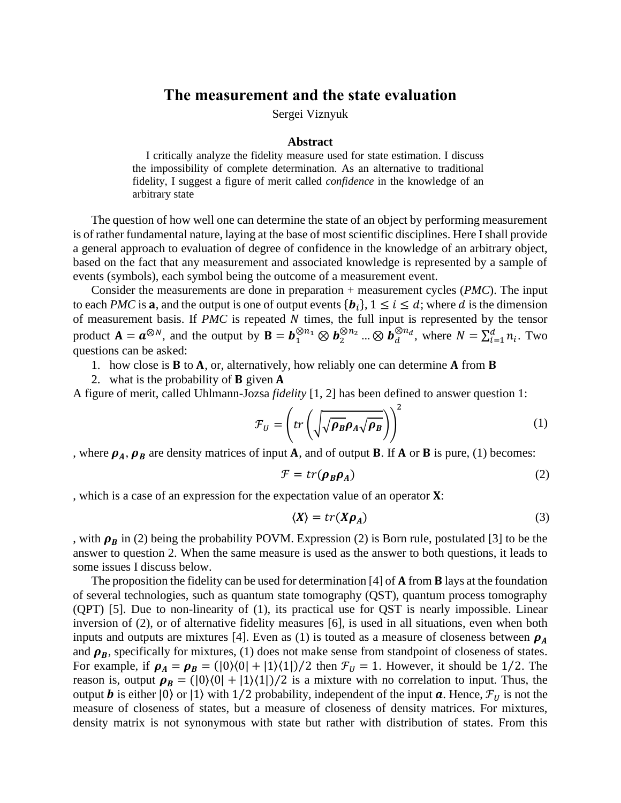## **The measurement and the state evaluation**

Sergei Viznyuk

## **Abstract**

I critically analyze the fidelity measure used for state estimation. I discuss the impossibility of complete determination. As an alternative to traditional fidelity, I suggest a figure of merit called *confidence* in the knowledge of an arbitrary state

The question of how well one can determine the state of an object by performing measurement is of rather fundamental nature, laying at the base of most scientific disciplines. Here Ishall provide a general approach to evaluation of degree of confidence in the knowledge of an arbitrary object, based on the fact that any measurement and associated knowledge is represented by a sample of events (symbols), each symbol being the outcome of a measurement event.

Consider the measurements are done in preparation + measurement cycles (*PMC*). The input to each *PMC* is **a**, and the output is one of output events  $\{b_i\}$ ,  $1 \le i \le d$ ; where d is the dimension of measurement basis. If  $PMC$  is repeated  $N$  times, the full input is represented by the tensor product  $\mathbf{A} = \boldsymbol{a}^{\otimes N}$ , and the output by  $\mathbf{B} = \boldsymbol{b}_1^{\otimes n_1} \otimes \boldsymbol{b}_2^{\otimes n_2} \dots \otimes \boldsymbol{b}_d^{\otimes n_d}$ , where  $N = \sum_{i=1}^d n_i$ . Two questions can be asked:

1. how close is  $\bf{B}$  to  $\bf{A}$ , or, alternatively, how reliably one can determine  $\bf{A}$  from  $\bf{B}$ 

2. what is the probability of  $\bf{B}$  given  $\bf{A}$ 

A figure of merit, called Uhlmann-Jozsa *fidelity* [1, 2] has been defined to answer question 1:

$$
\mathcal{F}_U = \left( tr \left( \sqrt{\sqrt{\rho_B} \rho_A \sqrt{\rho_B}} \right) \right)^2 \tag{1}
$$

, where  $\rho_A$ ,  $\rho_B$  are density matrices of input **A**, and of output **B**. If **A** or **B** is pure, (1) becomes:

$$
\mathcal{F} = tr(\rho_B \rho_A) \tag{2}
$$

, which is a case of an expression for the expectation value of an operator  $X$ :

$$
\langle X \rangle = tr(X\rho_A) \tag{3}
$$

, with  $\rho_B$  in (2) being the probability POVM. Expression (2) is Born rule, postulated [3] to be the answer to question 2. When the same measure is used as the answer to both questions, it leads to some issues I discuss below.

The proposition the fidelity can be used for determination [4] of  $A$  from  $B$  lays at the foundation of several technologies, such as quantum state tomography (QST), quantum process tomography (QPT) [5]. Due to non-linearity of (1), its practical use for QST is nearly impossible. Linear inversion of (2), or of alternative fidelity measures [6], is used in all situations, even when both inputs and outputs are mixtures [4]. Even as (1) is touted as a measure of closeness between  $\rho_A$ and  $\rho_B$ , specifically for mixtures, (1) does not make sense from standpoint of closeness of states. For example, if  $\rho_A = \rho_B = (0)(0) + (1)(1)/2$  then  $\mathcal{F}_U = 1$ . However, it should be 1/2. The reason is, output  $\rho_B = (0)(0) + (1)(1)/2$  is a mixture with no correlation to input. Thus, the output **b** is either  $|0\rangle$  or  $|1\rangle$  with 1/2 probability, independent of the input **a**. Hence,  $\mathcal{F}_{ij}$  is not the measure of closeness of states, but a measure of closeness of density matrices. For mixtures, density matrix is not synonymous with state but rather with distribution of states. From this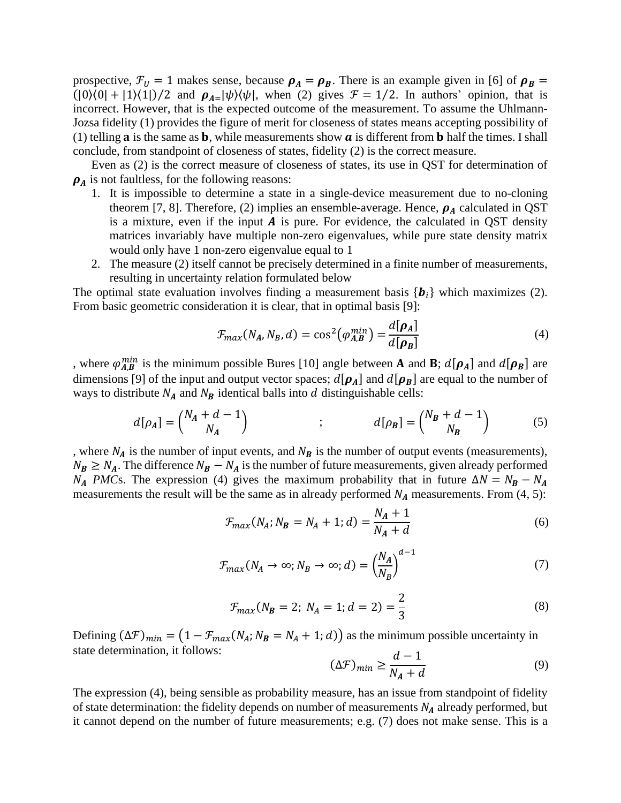prospective,  $\mathcal{F}_{U} = 1$  makes sense, because  $\rho_{A} = \rho_{B}$ . There is an example given in [6] of  $\rho_{B} =$  $(|0\rangle\langle 0| + |1\rangle\langle 1|)/2$  and  $\rho_{A=}|\psi\rangle\langle\psi|$ , when (2) gives  $\mathcal{F} = 1/2$ . In authors' opinion, that is incorrect. However, that is the expected outcome of the measurement. To assume the Uhlmann-Jozsa fidelity (1) provides the figure of merit for closeness of states means accepting possibility of (1) telling **a** is the same as **b**, while measurements show **a** is different from **b** half the times. I shall conclude, from standpoint of closeness of states, fidelity (2) is the correct measure.

Even as (2) is the correct measure of closeness of states, its use in QST for determination of  $\rho_A$  is not faultless, for the following reasons:

- 1. It is impossible to determine a state in a single-device measurement due to no-cloning theorem [7, 8]. Therefore, (2) implies an ensemble-average. Hence,  $\rho_A$  calculated in QST is a mixture, even if the input  $A$  is pure. For evidence, the calculated in QST density matrices invariably have multiple non-zero eigenvalues, while pure state density matrix would only have 1 non-zero eigenvalue equal to 1
- 2. The measure (2) itself cannot be precisely determined in a finite number of measurements, resulting in uncertainty relation formulated below

The optimal state evaluation involves finding a measurement basis  $\{b_i\}$  which maximizes (2). From basic geometric consideration it is clear, that in optimal basis [9]:

$$
\mathcal{F}_{max}(N_A, N_B, d) = \cos^2(\varphi_{A,B}^{min}) = \frac{d[\rho_A]}{d[\rho_B]}
$$
(4)

, where  $\varphi_{A,B}^{min}$  is the minimum possible Bures [10] angle between **A** and **B**;  $d[\rho_A]$  and  $d[\rho_B]$  are dimensions [9] of the input and output vector spaces;  $d[\rho_A]$  and  $d[\rho_B]$  are equal to the number of ways to distribute  $N_A$  and  $N_B$  identical balls into  $d$  distinguishable cells:

$$
d[\rho_A] = \begin{pmatrix} N_A + d - 1 \\ N_A \end{pmatrix} \qquad ; \qquad d[\rho_B] = \begin{pmatrix} N_B + d - 1 \\ N_B \end{pmatrix} \qquad (5)
$$

, where  $N_A$  is the number of input events, and  $N_B$  is the number of output events (measurements),  $N_B \ge N_A$ . The difference  $N_B - N_A$  is the number of future measurements, given already performed *N<sub>A</sub> PMC*s. The expression (4) gives the maximum probability that in future  $\Delta N = N_B - N_A$ measurements the result will be the same as in already performed  $N_A$  measurements. From (4, 5):

$$
\mathcal{F}_{max}(N_A; N_B = N_A + 1; d) = \frac{N_A + 1}{N_A + d} \tag{6}
$$

$$
\mathcal{F}_{max}(N_A \to \infty; N_B \to \infty; d) = \left(\frac{N_A}{N_B}\right)^{d-1} \tag{7}
$$

$$
\mathcal{F}_{max}(N_B = 2; N_A = 1; d = 2) = \frac{2}{3}
$$
\n(8)

Defining  $(\Delta \mathcal{F})_{min} = (1 - \mathcal{F}_{max}(N_A; N_B = N_A + 1; d))$  as the minimum possible uncertainty in state determination, it follows:

$$
(\Delta \mathcal{F})_{min} \ge \frac{d-1}{N_A + d} \tag{9}
$$

The expression (4), being sensible as probability measure, has an issue from standpoint of fidelity of state determination: the fidelity depends on number of measurements  $N_A$  already performed, but it cannot depend on the number of future measurements; e.g. (7) does not make sense. This is a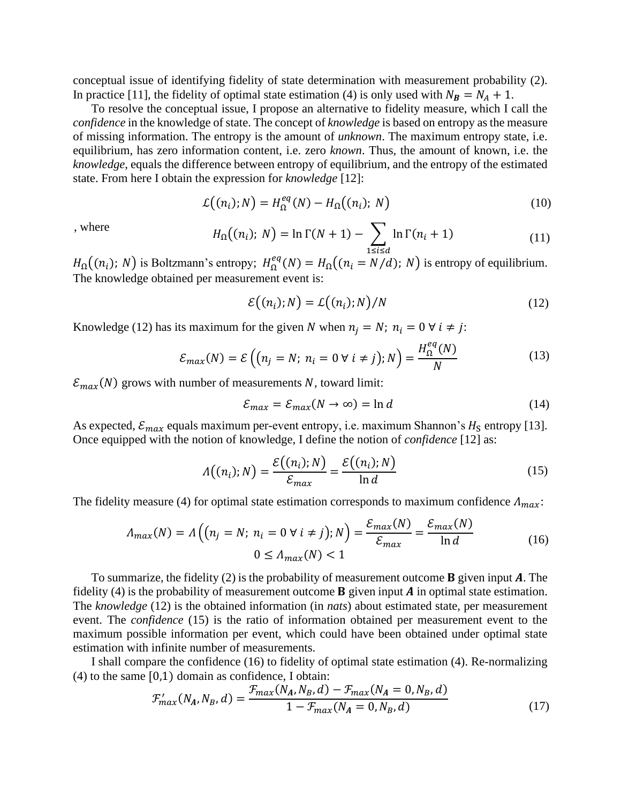conceptual issue of identifying fidelity of state determination with measurement probability (2). In practice [11], the fidelity of optimal state estimation (4) is only used with  $N_B = N_A + 1$ .

To resolve the conceptual issue, I propose an alternative to fidelity measure, which I call the *confidence* in the knowledge of state. The concept of *knowledge* is based on entropy as the measure of missing information. The entropy is the amount of *unknown*. The maximum entropy state, i.e. equilibrium, has zero information content, i.e. zero *known*. Thus, the amount of known, i.e. the *knowledge*, equals the difference between entropy of equilibrium, and the entropy of the estimated state. From here I obtain the expression for *knowledge* [12]:

$$
\mathcal{L}\big((n_i);N\big) = H_{\Omega}^{eq}(N) - H_{\Omega}\big((n_i);N\big) \tag{10}
$$

, where

$$
H_{\Omega}((n_i); N) = \ln \Gamma(N + 1) - \sum_{1 \le i \le d} \ln \Gamma(n_i + 1)
$$
 (11)

 $H_{\Omega}((n_i); N)$  is Boltzmann's entropy;  $H_{\Omega}^{eq}(N) = H_{\Omega}((n_i = N/d); N)$  is entropy of equilibrium. The knowledge obtained per measurement event is:

$$
\mathcal{E}\big((n_i);N\big) = \mathcal{L}\big((n_i);N\big)/N\tag{12}
$$

Knowledge (12) has its maximum for the given N when  $n_j = N$ ;  $n_i = 0 \forall i \neq j$ :

$$
\mathcal{E}_{max}(N) = \mathcal{E}\left((n_j = N; n_i = 0 \,\forall \, i \neq j); N\right) = \frac{H_{\Omega}^{eq}(N)}{N} \tag{13}
$$

 $\mathcal{E}_{max}(N)$  grows with number of measurements N, toward limit:

$$
\mathcal{E}_{max} = \mathcal{E}_{max}(N \to \infty) = \ln d \tag{14}
$$

As expected,  $\mathcal{E}_{max}$  equals maximum per-event entropy, i.e. maximum Shannon's  $H_S$  entropy [13]. Once equipped with the notion of knowledge, I define the notion of *confidence* [12] as:

$$
\Lambda((n_i);N) = \frac{\mathcal{E}((n_i);N)}{\mathcal{E}_{max}} = \frac{\mathcal{E}((n_i);N)}{\ln d}
$$
\n(15)

The fidelity measure (4) for optimal state estimation corresponds to maximum confidence  $\Lambda_{max}$ :

$$
A_{max}(N) = \Lambda \left( \left( n_j = N; \ n_i = 0 \ \forall \ i \neq j \right); N \right) = \frac{\mathcal{E}_{max}(N)}{\mathcal{E}_{max}} = \frac{\mathcal{E}_{max}(N)}{\ln d} \tag{16}
$$
\n
$$
0 \le A_{max}(N) < 1
$$

To summarize, the fidelity (2) is the probability of measurement outcome **B** given input A. The fidelity (4) is the probability of measurement outcome **B** given input  $\vec{A}$  in optimal state estimation. The *knowledge* (12) is the obtained information (in *nats*) about estimated state, per measurement event. The *confidence* (15) is the ratio of information obtained per measurement event to the maximum possible information per event, which could have been obtained under optimal state estimation with infinite number of measurements.

I shall compare the confidence (16) to fidelity of optimal state estimation (4). Re-normalizing (4) to the same [0,1) domain as confidence, I obtain:

$$
\mathcal{F}'_{max}(N_A, N_B, d) = \frac{\mathcal{F}_{max}(N_A, N_B, d) - \mathcal{F}_{max}(N_A = 0, N_B, d)}{1 - \mathcal{F}_{max}(N_A = 0, N_B, d)}
$$
(17)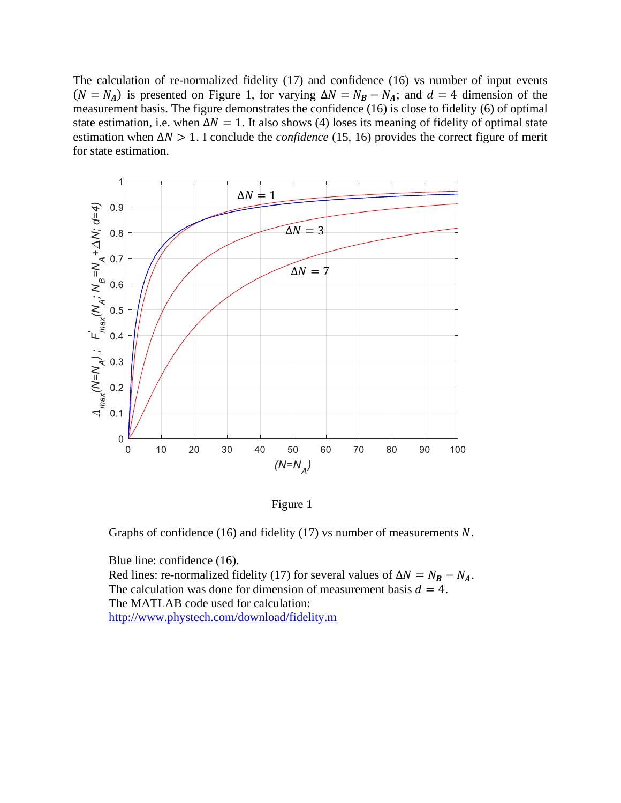The calculation of re-normalized fidelity (17) and confidence (16) vs number of input events  $(N = N_A)$  is presented on Figure 1, for varying  $\Delta N = N_B - N_A$ ; and  $d = 4$  dimension of the measurement basis. The figure demonstrates the confidence (16) is close to fidelity (6) of optimal state estimation, i.e. when  $\Delta N = 1$ . It also shows (4) loses its meaning of fidelity of optimal state estimation when  $\Delta N > 1$ . I conclude the *confidence* (15, 16) provides the correct figure of merit for state estimation.





Graphs of confidence (16) and fidelity (17) vs number of measurements  $N$ .

Blue line: confidence (16). Red lines: re-normalized fidelity (17) for several values of  $\Delta N = N_B - N_A$ . The calculation was done for dimension of measurement basis  $d = 4$ . The MATLAB code used for calculation: <http://www.phystech.com/download/fidelity.m>